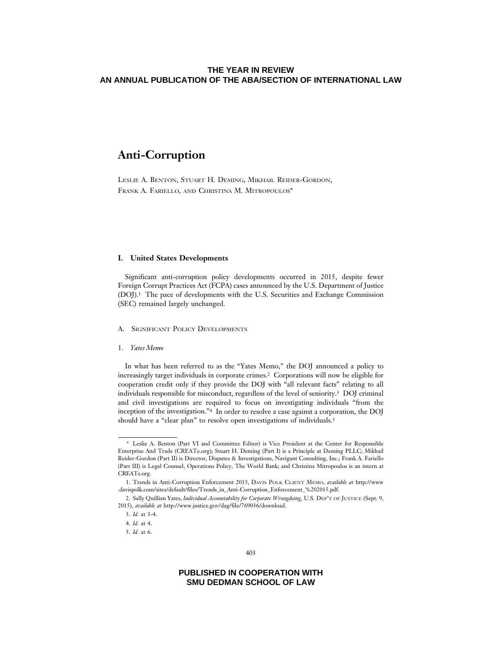# **Anti-Corruption**

LESLIE A. BENTON, STUART H. DEMING, MIKHAIL REIDER-GORDON, FRANK A. FARIELLO, AND CHRISTINA M. MITROPOULOS\*

### **I. United States Developments**

Significant anti-corruption policy developments occurred in 2015, despite fewer Foreign Corrupt Practices Act (FCPA) cases announced by the U.S. Department of Justice (DOJ).1 The pace of developments with the U.S. Securities and Exchange Commission (SEC) remained largely unchanged.

### A. SIGNIFICANT POLICY DEVELOPMENTS

### 1. *Yates Memo*

In what has been referred to as the "Yates Memo," the DOJ announced a policy to increasingly target individuals in corporate crimes.2 Corporations will now be eligible for cooperation credit only if they provide the DOJ with "all relevant facts" relating to all individuals responsible for misconduct, regardless of the level of seniority.3 DOJ criminal and civil investigations are required to focus on investigating individuals "from the inception of the investigation."4 In order to resolve a case against a corporation, the DOJ should have a "clear plan" to resolve open investigations of individuals.5

<sup>\*</sup> Leslie A. Benton (Part VI and Committee Editor) is Vice President at the Center for Responsible Enterprise And Trade (CREATe.org); Stuart H. Deming (Part I) is a Principle at Deming PLLC; Mikhail Reider-Gordon (Part II) is Director, Disputes & Investigations, Navigant Consulting, Inc.; Frank A. Fariello (Part III) is Legal Counsel, Operations Policy, The World Bank; and Christina Mitropoulos is an intern at CREATe.org.

<sup>1.</sup> Trends in Anti-Corruption Enforcement 2015, DAVIS POLK CLIENT MEMO, *available at* http://www .davispolk.com/sites/default/files/Trends\_in\_Anti-Corruption\_Enforcement\_%202015.pdf.

<sup>2.</sup> Sally Quillian Yates, *Individual Accountability for Corporate Wrongdoing*, U.S. DEP'T OF JUSTICE (Sept. 9, 2015), *available at* http://www.justice.gov/dag/file/769036/download.

<sup>3.</sup> *Id.* at 3-4.

<sup>4.</sup> *Id.* at 4.

<sup>5.</sup> *Id.* at 6.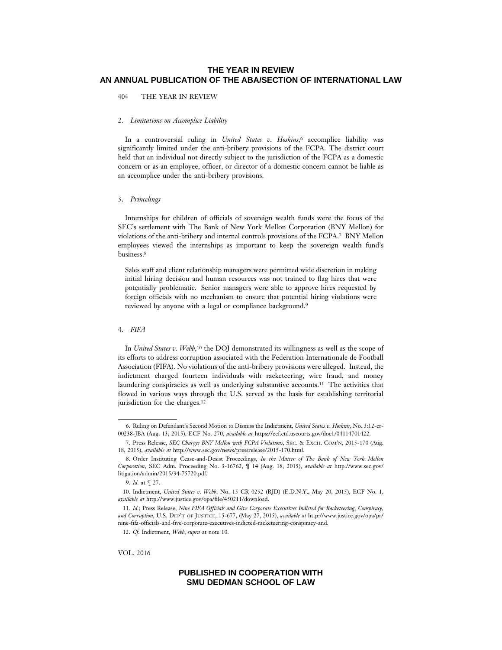404 THE YEAR IN REVIEW

#### 2. *Limitations on Accomplice Liability*

In a controversial ruling in *United States v. Hoskins*,6 accomplice liability was significantly limited under the anti-bribery provisions of the FCPA. The district court held that an individual not directly subject to the jurisdiction of the FCPA as a domestic concern or as an employee, officer, or director of a domestic concern cannot be liable as an accomplice under the anti-bribery provisions.

### 3. *Princelings*

Internships for children of officials of sovereign wealth funds were the focus of the SEC's settlement with The Bank of New York Mellon Corporation (BNY Mellon) for violations of the anti-bribery and internal controls provisions of the FCPA.7 BNY Mellon employees viewed the internships as important to keep the sovereign wealth fund's business.8

Sales staff and client relationship managers were permitted wide discretion in making initial hiring decision and human resources was not trained to flag hires that were potentially problematic. Senior managers were able to approve hires requested by foreign officials with no mechanism to ensure that potential hiring violations were reviewed by anyone with a legal or compliance background.9

### 4. *FIFA*

In *United States v. Webb*,10 the DOJ demonstrated its willingness as well as the scope of its efforts to address corruption associated with the Federation Internationale de Football Association (FIFA). No violations of the anti-bribery provisions were alleged. Instead, the indictment charged fourteen individuals with racketeering, wire fraud, and money laundering conspiracies as well as underlying substantive accounts.11 The activities that flowed in various ways through the U.S. served as the basis for establishing territorial jurisdiction for the charges.12

VOL. 2016

<sup>6.</sup> Ruling on Defendant's Second Motion to Dismiss the Indictment, *United States v. Hoskins*, No. 3:12-cr-00238-JBA (Aug. 13, 2015), ECF No. 270, *available at* https://ecf.ctd.uscourts.gov/doc1/04114701422.

<sup>7.</sup> Press Release, *SEC Charges BNY Mellon with FCPA Violations*, SEC. & EXCH. COM'N, 2015-170 (Aug. 18, 2015), *available at* http://www.sec.gov/news/pressrelease/2015-170.html.

<sup>8.</sup> Order Instituting Cease-and-Desist Proceedings, *In the Matter of The Bank of New York Mellon Corporation*, SEC Adm. Proceeding No. 3-16762, ¶ 14 (Aug. 18, 2015), *available at* http://www.sec.gov/ litigation/admin/2015/34-75720.pdf.

<sup>9.</sup> *Id.* at ¶ 27.

<sup>10.</sup> Indictment, *United States v. Webb*, No. 15 CR 0252 (RJD) (E.D.N.Y., May 20, 2015), ECF No. 1, *available at* http://www.justice.gov/opa/file/450211/download.

<sup>11.</sup> *Id.*; Press Release, *Nine FIFA Officials and Give Corporate Executives Indicted for Racketeering, Conspiracy, and Corruption*, U.S. DEP'T OF JUSTICE, 15-677, (May 27, 2015), *available at* http://www.justice.gov/opa/pr/ nine-fifa-officials-and-five-corporate-executives-indicted-racketeering-conspiracy-and.

<sup>12.</sup> *Cf.* Indictment, *Webb*, *supra* at note 10.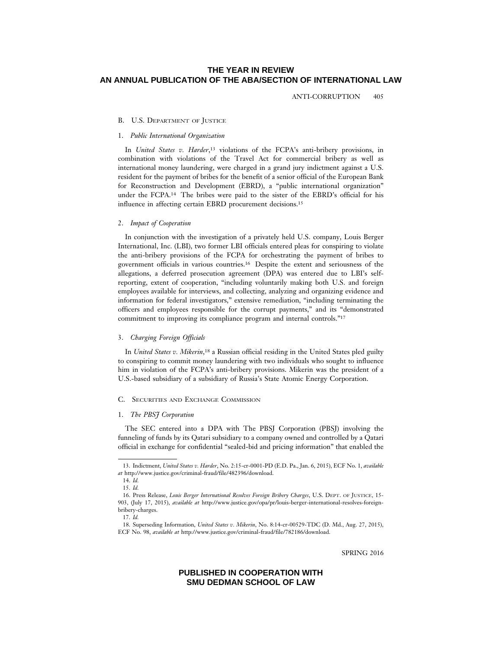ANTI-CORRUPTION 405

#### B. U.S. DEPARTMENT OF JUSTICE

### 1. *Public International Organization*

In *United States v. Harder*,13 violations of the FCPA's anti-bribery provisions, in combination with violations of the Travel Act for commercial bribery as well as international money laundering, were charged in a grand jury indictment against a U.S. resident for the payment of bribes for the benefit of a senior official of the European Bank for Reconstruction and Development (EBRD), a "public international organization" under the FCPA.14 The bribes were paid to the sister of the EBRD's official for his influence in affecting certain EBRD procurement decisions.15

#### 2. *Impact of Cooperation*

In conjunction with the investigation of a privately held U.S. company, Louis Berger International, Inc. (LBI), two former LBI officials entered pleas for conspiring to violate the anti-bribery provisions of the FCPA for orchestrating the payment of bribes to government officials in various countries.16 Despite the extent and seriousness of the allegations, a deferred prosecution agreement (DPA) was entered due to LBI's selfreporting, extent of cooperation, "including voluntarily making both U.S. and foreign employees available for interviews, and collecting, analyzing and organizing evidence and information for federal investigators," extensive remediation, "including terminating the officers and employees responsible for the corrupt payments," and its "demonstrated commitment to improving its compliance program and internal controls."17

### 3. *Charging Foreign Officials*

In *United States v. Mikerin*,18 a Russian official residing in the United States pled guilty to conspiring to commit money laundering with two individuals who sought to influence him in violation of the FCPA's anti-bribery provisions. Mikerin was the president of a U.S.-based subsidiary of a subsidiary of Russia's State Atomic Energy Corporation.

#### C. SECURITIES AND EXCHANGE COMMISSION

#### 1. *The PBSJ Corporation*

The SEC entered into a DPA with The PBSJ Corporation (PBSJ) involving the funneling of funds by its Qatari subsidiary to a company owned and controlled by a Qatari official in exchange for confidential "sealed-bid and pricing information" that enabled the

SPRING 2016

<sup>13.</sup> Indictment, *United States v. Harder*, No. 2:15-cr-0001-PD (E.D. Pa., Jan. 6, 2015), ECF No. 1, *available at* http://www.justice.gov/criminal-fraud/file/482396/download.

<sup>14.</sup> *Id.*

<sup>15.</sup> *Id.*

<sup>16.</sup> Press Release, *Louis Berger International Resolves Foreign Bribery Charges*, U.S. DEPT. OF JUSTICE, 15- 903, (July 17, 2015), *available at* http://www.justice.gov/opa/pr/louis-berger-international-resolves-foreignbribery-charges.

<sup>17.</sup> *Id.*

<sup>18.</sup> Superseding Information, *United States v. Mikerin*, No. 8:14-cr-00529-TDC (D. Md., Aug. 27, 2015), ECF No. 98, *available at* http://www.justice.gov/criminal-fraud/file/782186/download.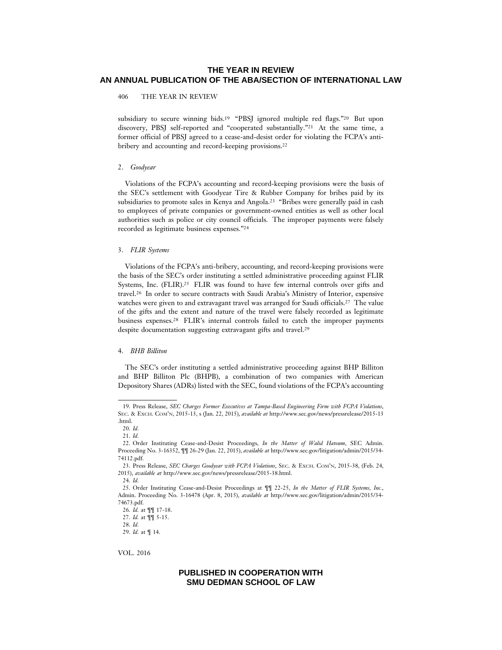406 THE YEAR IN REVIEW

subsidiary to secure winning bids.19 "PBSJ ignored multiple red flags."20 But upon discovery, PBSJ self-reported and "cooperated substantially."21 At the same time, a former official of PBSJ agreed to a cease-and-desist order for violating the FCPA's antibribery and accounting and record-keeping provisions.22

### 2. *Goodyear*

Violations of the FCPA's accounting and record-keeping provisions were the basis of the SEC's settlement with Goodyear Tire & Rubber Company for bribes paid by its subsidiaries to promote sales in Kenya and Angola.23 "Bribes were generally paid in cash to employees of private companies or government-owned entities as well as other local authorities such as police or city council officials. The improper payments were falsely recorded as legitimate business expenses."24

#### 3. *FLIR Systems*

Violations of the FCPA's anti-bribery, accounting, and record-keeping provisions were the basis of the SEC's order instituting a settled administrative proceeding against FLIR Systems, Inc. (FLIR).25 FLIR was found to have few internal controls over gifts and travel.26 In order to secure contracts with Saudi Arabia's Ministry of Interior, expensive watches were given to and extravagant travel was arranged for Saudi officials.27 The value of the gifts and the extent and nature of the travel were falsely recorded as legitimate business expenses.28 FLIR's internal controls failed to catch the improper payments despite documentation suggesting extravagant gifts and travel.29

### 4. *BHB Billiton*

The SEC's order instituting a settled administrative proceeding against BHP Billiton and BHP Billiton Plc (BHPB), a combination of two companies with American Depository Shares (ADRs) listed with the SEC, found violations of the FCPA's accounting

VOL. 2016

<sup>19.</sup> Press Release, *SEC Charges Former Executives at Tampa-Based Engineering Firm with FCPA Violations*, SEC. & EXCH. COM'N, 2015-13, s (Jan. 22, 2015), *available at* http://www.sec.gov/news/pressrelease/2015-13 .html.

<sup>20.</sup> *Id.*

<sup>21.</sup> *Id.*

<sup>22.</sup> Order Instituting Cease-and-Desist Proceedings, *In the Matter of Walid Hatoum*, SEC Admin. Proceeding No. 3-16352, ¶¶ 26-29 (Jan. 22, 2015), *available at* http://www.sec.gov/litigation/admin/2015/34- 74112.pdf.

<sup>23.</sup> Press Release, *SEC Charges Goodyear with FCPA Violations*, SEC. & EXCH. COM'N, 2015-38, (Feb. 24, 2015), *available at* http://www.sec.gov/news/pressrelease/2015-38.html.

<sup>24.</sup> *Id.*

<sup>25.</sup> Order Instituting Cease-and-Desist Proceedings at ¶¶ 22-25, *In the Matter of FLIR Systems, Inc.*, Admin. Proceeding No. 3-16478 (Apr. 8, 2015), *available at* http://www.sec.gov/litigation/admin/2015/34- 74673.pdf.

<sup>26.</sup> *Id.* at ¶¶ 17-18.

<sup>27.</sup> *Id.* at ¶¶ 5-15.

<sup>28.</sup> *Id.*

<sup>29.</sup> *Id.* at ¶ 14.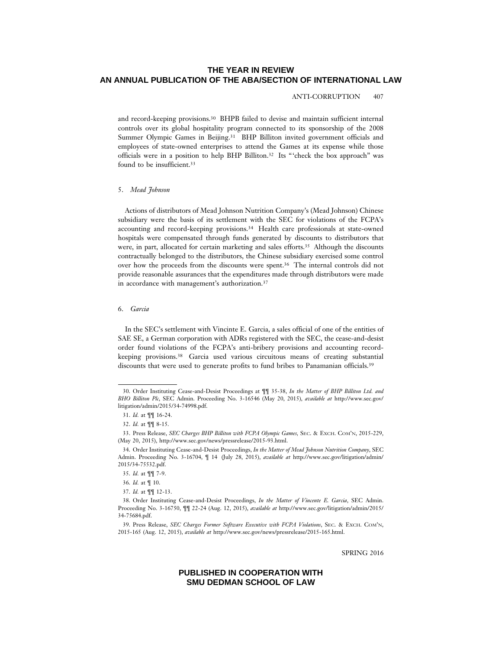#### ANTI-CORRUPTION 407

and record-keeping provisions.30 BHPB failed to devise and maintain sufficient internal controls over its global hospitality program connected to its sponsorship of the 2008 Summer Olympic Games in Beijing.<sup>31</sup> BHP Billiton invited government officials and employees of state-owned enterprises to attend the Games at its expense while those officials were in a position to help BHP Billiton.32 Its "'check the box approach" was found to be insufficient.33

#### 5. *Mead Johnson*

Actions of distributors of Mead Johnson Nutrition Company's (Mead Johnson) Chinese subsidiary were the basis of its settlement with the SEC for violations of the FCPA's accounting and record-keeping provisions.34 Health care professionals at state-owned hospitals were compensated through funds generated by discounts to distributors that were, in part, allocated for certain marketing and sales efforts.35 Although the discounts contractually belonged to the distributors, the Chinese subsidiary exercised some control over how the proceeds from the discounts were spent.36 The internal controls did not provide reasonable assurances that the expenditures made through distributors were made in accordance with management's authorization.37

#### 6. *Garcia*

In the SEC's settlement with Vincinte E. Garcia, a sales official of one of the entities of SAE SE, a German corporation with ADRs registered with the SEC, the cease-and-desist order found violations of the FCPA's anti-bribery provisions and accounting recordkeeping provisions.38 Garcia used various circuitous means of creating substantial discounts that were used to generate profits to fund bribes to Panamanian officials.<sup>39</sup>

SPRING 2016

<sup>30.</sup> Order Instituting Cease-and-Desist Proceedings at ¶¶ 35-38, *In the Matter of BHP Billiton Ltd. and BHO Billiton Plc*, SEC Admin. Proceeding No. 3-16546 (May 20, 2015), *available at* http://www.sec.gov/ litigation/admin/2015/34-74998.pdf.

<sup>31.</sup> *Id.* at ¶¶ 16-24.

<sup>32.</sup> *Id.* at ¶¶ 8-15.

<sup>33.</sup> Press Release, *SEC Charges BHP Billiton with FCPA Olympic Games,* SEC. & EXCH. COM'N, 2015-229, (May 20, 2015), http://www.sec.gov/news/pressrelease/2015-93.html.

<sup>34.</sup> Order Instituting Cease-and-Desist Proceedings, *In the Matter of Mead Johnson Nutrition Company*, SEC Admin. Proceeding No. 3-16704, ¶ 14 (July 28, 2015), *available at* http://www.sec.gov/litigation/admin/ 2015/34-75532.pdf.

<sup>35.</sup> *Id.* at ¶¶ 7-9.

<sup>36.</sup> *Id.* at ¶ 10.

<sup>37.</sup> *Id.* at ¶¶ 12-13.

<sup>38.</sup> Order Instituting Cease-and-Desist Proceedings, *In the Matter of Vincente E. Garcia*, SEC Admin. Proceeding No. 3-16750, ¶¶ 22-24 (Aug. 12, 2015), *available at* http://www.sec.gov/litigation/admin/2015/ 34-75684.pdf.

<sup>39.</sup> Press Release, *SEC Charges Former Software Executive with FCPA Violations*, SEC. & EXCH. COM'N, 2015-165 (Aug. 12, 2015), *available at* http://www.sec.gov/news/pressrelease/2015-165.html.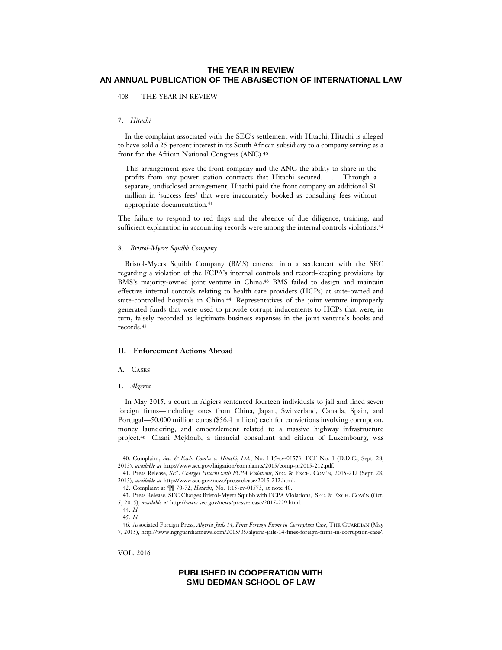408 THE YEAR IN REVIEW

#### 7. *Hitachi*

In the complaint associated with the SEC's settlement with Hitachi, Hitachi is alleged to have sold a 25 percent interest in its South African subsidiary to a company serving as a front for the African National Congress (ANC).40

This arrangement gave the front company and the ANC the ability to share in the profits from any power station contracts that Hitachi secured. . . . Through a separate, undisclosed arrangement, Hitachi paid the front company an additional \$1 million in 'success fees' that were inaccurately booked as consulting fees without appropriate documentation.<sup>41</sup>

The failure to respond to red flags and the absence of due diligence, training, and sufficient explanation in accounting records were among the internal controls violations.<sup>42</sup>

### 8. *Bristol-Myers Squibb Company*

Bristol-Myers Squibb Company (BMS) entered into a settlement with the SEC regarding a violation of the FCPA's internal controls and record-keeping provisions by BMS's majority-owned joint venture in China.43 BMS failed to design and maintain effective internal controls relating to health care providers (HCPs) at state-owned and state-controlled hospitals in China.44 Representatives of the joint venture improperly generated funds that were used to provide corrupt inducements to HCPs that were, in turn, falsely recorded as legitimate business expenses in the joint venture's books and records.45

### **II. Enforcement Actions Abroad**

### A. CASES

#### 1. *Algeria*

In May 2015, a court in Algiers sentenced fourteen individuals to jail and fined seven foreign firms—including ones from China, Japan, Switzerland, Canada, Spain, and Portugal—50,000 million euros (\$56.4 million) each for convictions involving corruption, money laundering, and embezzlement related to a massive highway infrastructure project.46 Chani Mejdoub, a financial consultant and citizen of Luxembourg, was

VOL. 2016

<sup>40.</sup> Complaint, *Sec. & Exch. Com'n v. Hitachi, Ltd.*, No. 1:15-cv-01573, ECF No. 1 (D.D.C., Sept. 28, 2015), *available at* http://www.sec.gov/litigation/complaints/2015/comp-pr2015-212.pdf.

<sup>41.</sup> Press Release, *SEC Charges Hitachi with FCPA Violations*, SEC. & EXCH. COM'N, 2015-212 (Sept. 28, 2015), *available at* http://www.sec.gov/news/pressrelease/2015-212.html.

<sup>42.</sup> Complaint at ¶¶ 70-72; *Hatachi*, No. 1:15-cv-01573, at note 40.

<sup>43.</sup> Press Release, SEC Charges Bristol-Myers Squibb with FCPA Violations, SEC. & EXCH. COM'N (Oct. 5, 2015), *available at* http://www.sec.gov/news/pressrelease/2015-229.html.

<sup>44.</sup> *Id.*

<sup>45.</sup> *Id.*

<sup>46.</sup> Associated Foreign Press, *Algeria Jails 14, Fines Foreign Firms in Corruption Case*, THE GUARDIAN (May 7, 2015), http://www.ngrguardiannews.com/2015/05/algeria-jails-14-fines-foreign-firms-in-corruption-case/.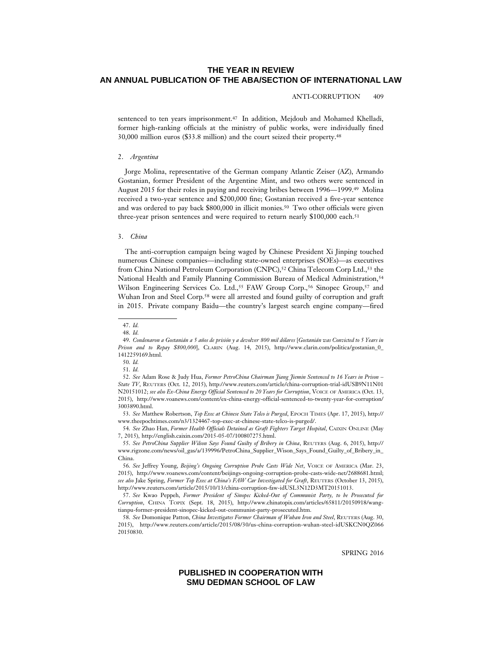ANTI-CORRUPTION 409

sentenced to ten years imprisonment.47 In addition, Mejdoub and Mohamed Khelladi, former high-ranking officials at the ministry of public works, were individually fined 30,000 million euros (\$33.8 million) and the court seized their property.48

#### 2. *Argentina*

Jorge Molina, representative of the German company Atlantic Zeiser (AZ), Armando Gostanian, former President of the Argentine Mint, and two others were sentenced in August 2015 for their roles in paying and receiving bribes between 1996—1999.49 Molina received a two-year sentence and \$200,000 fine; Gostanian received a five-year sentence and was ordered to pay back \$800,000 in illicit monies.50 Two other officials were given three-year prison sentences and were required to return nearly \$100,000 each.<sup>51</sup>

#### 3. *China*

The anti-corruption campaign being waged by Chinese President Xi Jinping touched numerous Chinese companies—including state-owned enterprises (SOEs)—as executives from China National Petroleum Corporation (CNPC),<sup>52</sup> China Telecom Corp Ltd.,<sup>53</sup> the National Health and Family Planning Commission Bureau of Medical Administration,<sup>54</sup> Wilson Engineering Services Co. Ltd.,<sup>55</sup> FAW Group Corp.,<sup>56</sup> Sinopec Group,<sup>57</sup> and Wuhan Iron and Steel Corp.58 were all arrested and found guilty of corruption and graft in 2015. Private company Baidu—the country's largest search engine company—fired

SPRING 2016

<sup>47.</sup> *Id.*

<sup>48.</sup> *Id.*

<sup>49.</sup> Condenaron a Gostanián a 5 años de prisión y a devolver 800 mil dólares [Gostanián was Convicted to 5 Years in *Prison and to Repay \$800,000*], CLARIN (Aug. 14, 2015), http://www.clarin.com/politica/gostanian\_0\_ 1412259169.html.

<sup>50.</sup> *Id.*

<sup>51.</sup> *Id.*

<sup>52.</sup> *See* Adam Rose & Judy Hua, *Former PetroChina Chairman Jiang Jiemin Sentenced to 16 Years in Prison – State TV*, REUTERS (Oct. 12, 2015), http://www.reuters.com/article/china-corruption-trial-idUSB9N11N01 N20151012; *see also Ex-China Energy Official Sentenced to 20 Years for Corruption*, VOICE OF AMERICA (Oct. 13, 2015), http://www.voanews.com/content/ex-china-energy-official-sentenced-to-twenty-year-for-corruption/ 3003890.html.

<sup>53.</sup> *See* Matthew Robertson, *Top Exec at Chinese State Telco is Purged*, EPOCH TIMES (Apr. 17, 2015), http:// www.theepochtimes.com/n3/1324467-top-exec-at-chinese-state-telco-is-purged/.

<sup>54.</sup> *See* Zhao Han, *Former Health Officials Detained as Graft Fighters Target Hospital*, CAIXIN ONLINE (May 7, 2015), http://english.caixin.com/2015-05-07/100807275.html.

<sup>55.</sup> *See PetroChina Supplier Wilson Says Found Guilty of Bribery in China*, REUTERS (Aug. 6, 2015), http:// www.rigzone.com/news/oil\_gas/a/139996/PetroChina\_Supplier\_Wison\_Says\_Found\_Guilty\_of\_Bribery\_in\_ China.

<sup>56.</sup> *See* Jeffrey Young, *Beijing's Ongoing Corruption Probe Casts Wide Net*, VOICE OF AMERICA (Mar. 23, 2015), http://www.voanews.com/content/beijings-ongoing-corruption-probe-casts-wide-net/2688681.html; *see also* Jake Spring, *Former Top Exec at China's FAW Car Investigated for Graft*, REUTERS (October 13, 2015), http://www.reuters.com/article/2015/10/13/china-corruption-faw-idUSL3N12D3MT20151013.

<sup>57.</sup> *See* Kwao Peppeh, *Former President of Sinopec Kicked-Out of Communist Party, to be Prosecuted for Corruption*, CHINA TOPIX (Sept. 18, 2015), http://www.chinatopix.com/articles/65811/20150918/wangtianpu-former-president-sinopec-kicked-out-communist-party-prosecuted.htm.

<sup>58.</sup> *See* Domonique Patton, *China Investigates Former Chairman of Wuhan Iron and Steel*, REUTERS (Aug. 30, 2015), http://www.reuters.com/article/2015/08/30/us-china-corruption-wuhan-steel-idUSKCN0QZ066 20150830.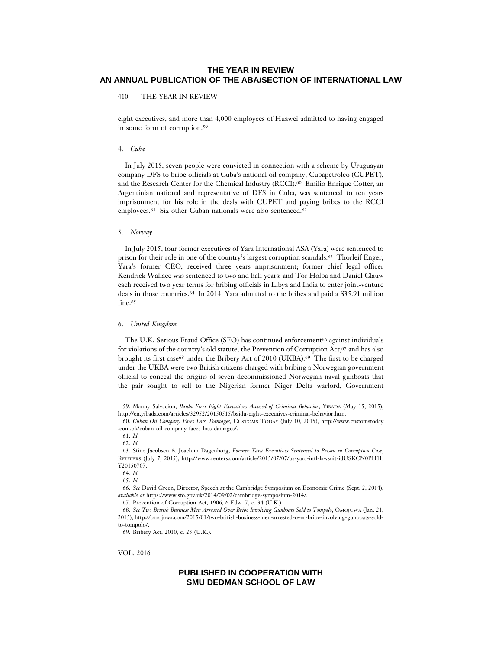410 THE YEAR IN REVIEW

eight executives, and more than 4,000 employees of Huawei admitted to having engaged in some form of corruption.59

#### 4. *Cuba*

In July 2015, seven people were convicted in connection with a scheme by Uruguayan company DFS to bribe officials at Cuba's national oil company, Cubapetroleo (CUPET), and the Research Center for the Chemical Industry (RCCI).60 Emilio Enrique Cotter, an Argentinian national and representative of DFS in Cuba, was sentenced to ten years imprisonment for his role in the deals with CUPET and paying bribes to the RCCI employees.<sup>61</sup> Six other Cuban nationals were also sentenced.<sup>62</sup>

#### 5. *Norway*

In July 2015, four former executives of Yara International ASA (Yara) were sentenced to prison for their role in one of the country's largest corruption scandals.63 Thorleif Enger, Yara's former CEO, received three years imprisonment; former chief legal officer Kendrick Wallace was sentenced to two and half years; and Tor Holba and Daniel Clauw each received two year terms for bribing officials in Libya and India to enter joint-venture deals in those countries.64 In 2014, Yara admitted to the bribes and paid a \$35.91 million fine.<sup>65</sup>

#### 6. *United Kingdom*

The U.K. Serious Fraud Office (SFO) has continued enforcement<sup>66</sup> against individuals for violations of the country's old statute, the Prevention of Corruption Act,<sup>67</sup> and has also brought its first case<sup>68</sup> under the Bribery Act of 2010 (UKBA).<sup>69</sup> The first to be charged under the UKBA were two British citizens charged with bribing a Norwegian government official to conceal the origins of seven decommissioned Norwegian naval gunboats that the pair sought to sell to the Nigerian former Niger Delta warlord, Government

VOL. 2016

<sup>59.</sup> Manny Salvacion, *Baidu Fires Eight Executives Accused of Criminal Behavior*, YIBADA (May 15, 2015), http://en.yibada.com/articles/32952/20150515/baidu-eight-executives-criminal-behavior.htm.

<sup>60.</sup> *Cuban Oil Company Faces Loss, Damages*, CUSTOMS TODAY (July 10, 2015), http://www.customstoday .com.pk/cuban-oil-company-faces-loss-damages/.

<sup>61.</sup> *Id.*

<sup>62.</sup> *Id.*

<sup>63.</sup> Stine Jacobsen & Joachim Dagenborg, *Former Yara Executives Sentenced to Prison in Corruption Case*, REUTERS (July 7, 2015), http://www.reuters.com/article/2015/07/07/us-yara-intl-lawsuit-idUSKCN0PH1L Y20150707.

<sup>64.</sup> *Id.*

<sup>65.</sup> *Id.*

<sup>66.</sup> *See* David Green, Director, Speech at the Cambridge Symposium on Economic Crime (Sept. 2, 2014), *available at* https://www.sfo.gov.uk/2014/09/02/cambridge-symposium-2014/.

<sup>67.</sup> Prevention of Corruption Act, 1906, 6 Edw. 7, c. 34 (U.K.).

<sup>68.</sup> *See Two British Business Men Arrested Over Bribe Involving Gunboats Sold to Tompolo*, OMOJUWA (Jan. 21, 2015), http://omojuwa.com/2015/01/two-british-business-men-arrested-over-bribe-involving-gunboats-soldto-tompolo/.

<sup>69.</sup> Bribery Act, 2010, c. 23 (U.K.).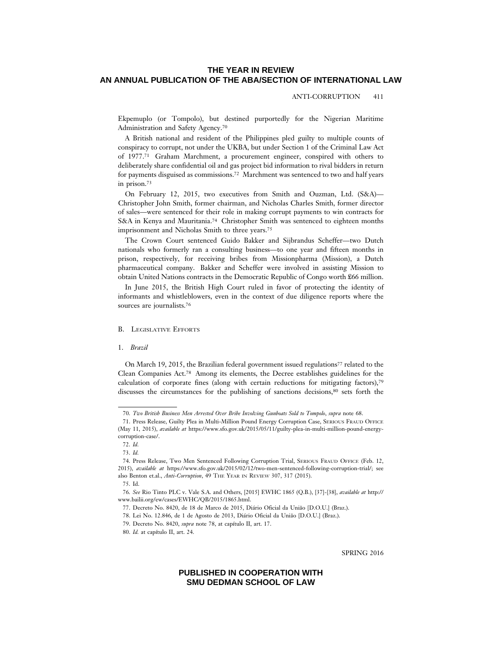#### ANTI-CORRUPTION 411

Ekpemuplo (or Tompolo), but destined purportedly for the Nigerian Maritime Administration and Safety Agency.70

A British national and resident of the Philippines pled guilty to multiple counts of conspiracy to corrupt, not under the UKBA, but under Section 1 of the Criminal Law Act of 1977.71 Graham Marchment, a procurement engineer, conspired with others to deliberately share confidential oil and gas project bid information to rival bidders in return for payments disguised as commissions.72 Marchment was sentenced to two and half years in prison.73

On February 12, 2015, two executives from Smith and Ouzman, Ltd. (S&A)— Christopher John Smith, former chairman, and Nicholas Charles Smith, former director of sales—were sentenced for their role in making corrupt payments to win contracts for S&A in Kenya and Mauritania.74 Christopher Smith was sentenced to eighteen months imprisonment and Nicholas Smith to three years.75

The Crown Court sentenced Guido Bakker and Sijbrandus Scheffer—two Dutch nationals who formerly ran a consulting business—to one year and fifteen months in prison, respectively, for receiving bribes from Missionpharma (Mission), a Dutch pharmaceutical company. Bakker and Scheffer were involved in assisting Mission to obtain United Nations contracts in the Democratic Republic of Congo worth £66 million.

In June 2015, the British High Court ruled in favor of protecting the identity of informants and whistleblowers, even in the context of due diligence reports where the sources are journalists.76

### B. LEGISLATIVE EFFORTS

1. *Brazil*

On March 19, 2015, the Brazilian federal government issued regulations<sup>77</sup> related to the Clean Companies Act.78 Among its elements, the Decree establishes guidelines for the calculation of corporate fines (along with certain reductions for mitigating factors),79 discusses the circumstances for the publishing of sanctions decisions,<sup>80</sup> sets forth the

80. *Id.* at capítulo II, art. 24.

SPRING 2016

<sup>70.</sup> *Two British Business Men Arrested Over Bribe Involving Gunboats Sold to Tompolo*, *supra* note 68.

<sup>71.</sup> Press Release, Guilty Plea in Multi-Million Pound Energy Corruption Case, SERIOUS FRAUD OFFICE (May 11, 2015), *available at* https://www.sfo.gov.uk/2015/05/11/guilty-plea-in-multi-million-pound-energycorruption-case/.

<sup>72.</sup> *Id.*

<sup>73.</sup> *Id.*

<sup>74.</sup> Press Release, Two Men Sentenced Following Corruption Trial, SERIOUS FRAUD OFFICE (Feb. 12, 2015), *available at* https://www.sfo.gov.uk/2015/02/12/two-men-sentenced-following-corruption-trial/; see also Benton et.al., *Anti-Corruption*, 49 THE YEAR IN REVIEW 307, 317 (2015).

<sup>75.</sup> Id.

<sup>76.</sup> *See* Rio Tinto PLC v. Vale S.A. and Others, [2015] EWHC 1865 (Q.B.), [37]-[38], *available at* http:// www.bailii.org/ew/cases/EWHC/QB/2015/1865.html.

<sup>77.</sup> Decreto No. 8420, de 18 de Marco de 2015, Diário Oficial da União [D.O.U.] (Braz.).

<sup>78.</sup> Lei No. 12.846, de 1 de Agosto de 2013, Diário Oficial da União [D.O.U.] (Braz.).

<sup>79.</sup> Decreto No. 8420, *supra* note 78, at capítulo II, art. 17.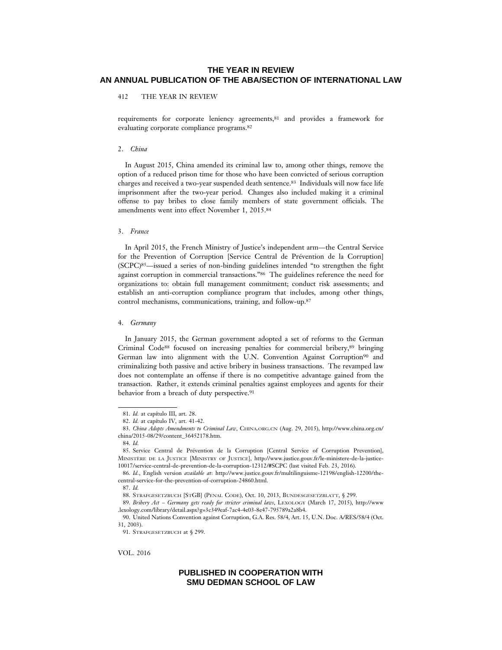412 THE YEAR IN REVIEW

requirements for corporate leniency agreements,81 and provides a framework for evaluating corporate compliance programs.82

#### 2. *China*

In August 2015, China amended its criminal law to, among other things, remove the option of a reduced prison time for those who have been convicted of serious corruption charges and received a two-year suspended death sentence.83 Individuals will now face life imprisonment after the two-year period. Changes also included making it a criminal offense to pay bribes to close family members of state government officials. The amendments went into effect November 1, 2015.84

#### 3. *France*

In April 2015, the French Ministry of Justice's independent arm—the Central Service for the Prevention of Corruption [Service Central de Prévention de la Corruption] (SCPC)85—issued a series of non-binding guidelines intended "to strengthen the fight against corruption in commercial transactions."86 The guidelines reference the need for organizations to: obtain full management commitment; conduct risk assessments; and establish an anti-corruption compliance program that includes, among other things, control mechanisms, communications, training, and follow-up.87

#### 4. *Germany*

In January 2015, the German government adopted a set of reforms to the German Criminal Code88 focused on increasing penalties for commercial bribery,89 bringing German law into alignment with the U.N. Convention Against Corruption90 and criminalizing both passive and active bribery in business transactions. The revamped law does not contemplate an offense if there is no competitive advantage gained from the transaction. Rather, it extends criminal penalties against employees and agents for their behavior from a breach of duty perspective.<sup>91</sup>

VOL. 2016

<sup>81.</sup> *Id.* at capítulo III, art. 28.

<sup>82.</sup> *Id.* at capítulo IV, art. 41-42.

<sup>83.</sup> *China Adopts Amendments to Criminal Law*, CHINA.ORG.CN (Aug. 29, 2015), http://www.china.org.cn/ china/2015-08/29/content\_36452178.htm.

<sup>84.</sup> *Id.*

<sup>85.</sup> Service Central de Prévention de la Corruption [Central Service of Corruption Prevention], MINISTERE DE LA JUSTICE [MINISTRY OF JUSTICE], http://www.justice.gouv.fr/le-ministere-de-la-justice-10017/service-central-de-prevention-de-la-corruption-12312/#SCPC (last visited Feb. 23, 2016).

<sup>86.</sup> *Id.*, English version *available at*: http://www.justice.gouv.fr/multilinguisme-12198/english-12200/thecentral-service-for-the-prevention-of-corruption-24860.html.

<sup>87.</sup> *Id.*

<sup>88.</sup> STRAFGESETZBUCH [STGB] (PENAL CODE), Oct. 10, 2013, BUNDESGESETZBLATT, § 299.

<sup>89.</sup> *Bribery Act – Germany gets ready for stricter criminal laws*, LEXOLOGY (March 17, 2015), http://www .lexology.com/library/detail.aspx?g=3c349eaf-7ac4-4e03-8e47-795789a2a8b4.

<sup>90.</sup> United Nations Convention against Corruption, G.A. Res. 58/4, Art. 15, U.N. Doc. A/RES/58/4 (Oct. 31, 2003).

<sup>91.</sup> STRAFGESETZBUCH at § 299.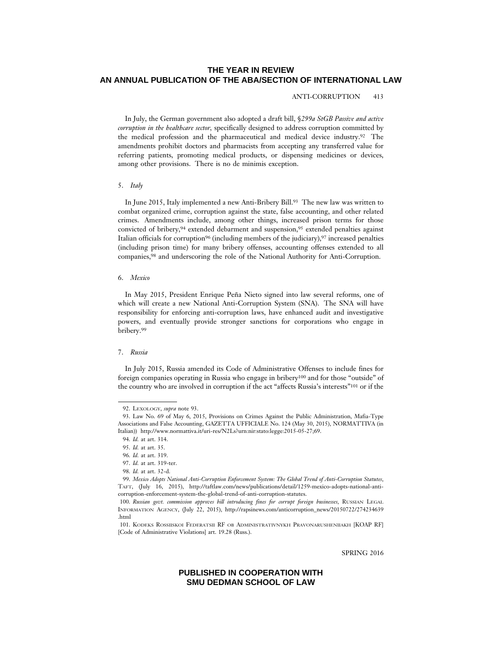#### ANTI-CORRUPTION 413

In July, the German government also adopted a draft bill, §*299a StGB Passive and active corruption in the healthcare sector,* specifically designed to address corruption committed by the medical profession and the pharmaceutical and medical device industry.92 The amendments prohibit doctors and pharmacists from accepting any transferred value for referring patients, promoting medical products, or dispensing medicines or devices, among other provisions. There is no de minimis exception.

#### 5. *Italy*

In June 2015, Italy implemented a new Anti-Bribery Bill.93 The new law was written to combat organized crime, corruption against the state, false accounting, and other related crimes. Amendments include, among other things, increased prison terms for those convicted of bribery,94 extended debarment and suspension,95 extended penalties against Italian officials for corruption<sup>96</sup> (including members of the judiciary),<sup>97</sup> increased penalties (including prison time) for many bribery offenses, accounting offenses extended to all companies,98 and underscoring the role of the National Authority for Anti-Corruption.

#### 6. *Mexico*

In May 2015, President Enrique Peña Nieto signed into law several reforms, one of which will create a new National Anti-Corruption System (SNA). The SNA will have responsibility for enforcing anti-corruption laws, have enhanced audit and investigative powers, and eventually provide stronger sanctions for corporations who engage in bribery.99

#### 7. *Russia*

In July 2015, Russia amended its Code of Administrative Offenses to include fines for foreign companies operating in Russia who engage in bribery100 and for those "outside" of the country who are involved in corruption if the act "affects Russia's interests"101 or if the

SPRING 2016

<sup>92.</sup> LEXOLOGY, *supra* note 93.

<sup>93.</sup> Law No. 69 of May 6, 2015, Provisions on Crimes Against the Public Administration, Mafia-Type Associations and False Accounting, GAZETTA UFFICIALE No. 124 (May 30, 2015), NORMATTIVA (in Italian)) http://www.normattiva.it/uri-res/N2Ls?urn:nir:stato:legge:2015-05-27;69.

<sup>94.</sup> *Id.* at art. 314.

<sup>95.</sup> *Id.* at art. 35.

<sup>96.</sup> *Id.* at art. 319.

<sup>97.</sup> *Id.* at art. 319-ter.

<sup>98.</sup> *Id.* at art. 32-d.

<sup>99.</sup> *Mexico Adopts National Anti-Corruption Enforcement System: The Global Trend of Anti-Corruption Statutes*, TAFT, (July 16, 2015), http://taftlaw.com/news/publications/detail/1259-mexico-adopts-national-anticorruption-enforcement-system-the-global-trend-of-anti-corruption-statutes.

<sup>100.</sup> *Russian govt. commission approves bill introducing fines for corrupt foreign businesses*, RUSSIAN LEGAL INFORMATION AGENCY, (July 22, 2015), http://rapsinews.com/anticorruption\_news/20150722/274234639 .html

<sup>101.</sup> KODEKS ROSSIISKOI FEDERATSII RF OB ADMINISTRATIVNYKH PRAVONARUSHENIIAKH [KOAP RF] [Code of Administrative Violations] art. 19.28 (Russ.).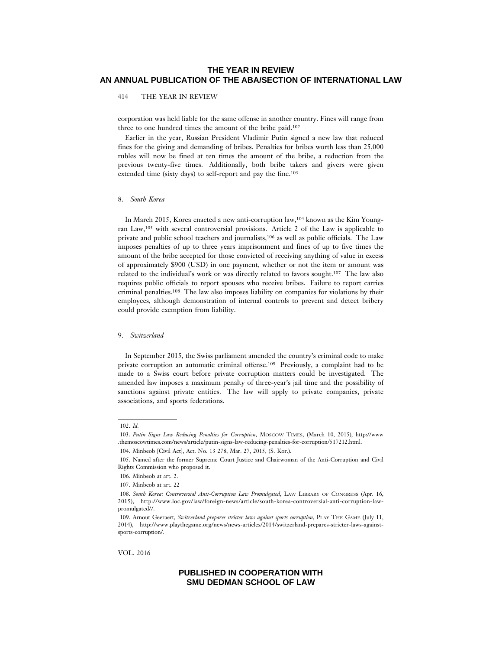414 THE YEAR IN REVIEW

corporation was held liable for the same offense in another country. Fines will range from three to one hundred times the amount of the bribe paid.102

Earlier in the year, Russian President Vladimir Putin signed a new law that reduced fines for the giving and demanding of bribes. Penalties for bribes worth less than 25,000 rubles will now be fined at ten times the amount of the bribe, a reduction from the previous twenty-five times. Additionally, both bribe takers and givers were given extended time (sixty days) to self-report and pay the fine.103

### 8. *South Korea*

In March 2015, Korea enacted a new anti-corruption law,104 known as the Kim Youngran Law,105 with several controversial provisions. Article 2 of the Law is applicable to private and public school teachers and journalists,106 as well as public officials. The Law imposes penalties of up to three years imprisonment and fines of up to five times the amount of the bribe accepted for those convicted of receiving anything of value in excess of approximately \$900 (USD) in one payment, whether or not the item or amount was related to the individual's work or was directly related to favors sought.107 The law also requires public officials to report spouses who receive bribes. Failure to report carries criminal penalties.108 The law also imposes liability on companies for violations by their employees, although demonstration of internal controls to prevent and detect bribery could provide exemption from liability.

#### 9. *Switzerland*

In September 2015, the Swiss parliament amended the country's criminal code to make private corruption an automatic criminal offense.109 Previously, a complaint had to be made to a Swiss court before private corruption matters could be investigated. The amended law imposes a maximum penalty of three-year's jail time and the possibility of sanctions against private entities. The law will apply to private companies, private associations, and sports federations.

VOL. 2016

<sup>102.</sup> *Id.*

<sup>103.</sup> *Putin Signs Law Reducing Penalties for Corruption*, MOSCOW TIMES, (March 10, 2015), http://www .themoscowtimes.com/news/article/putin-signs-law-reducing-penalties-for-corruption/517212.html.

<sup>104.</sup> Minbeob [Civil Act], Act. No. 13 278, Mar. 27, 2015, (S. Kor.).

<sup>105.</sup> Named after the former Supreme Court Justice and Chairwoman of the Anti-Corruption and Civil Rights Commission who proposed it.

<sup>106.</sup> Minbeob at art. 2.

<sup>107.</sup> Minbeob at art. 22

<sup>108.</sup> *South Korea: Controversial Anti-Corruption Law Promulgated*, LAW LIBRARY OF CONGRESS (Apr. 16, 2015), http://www.loc.gov/law/foreign-news/article/south-korea-controversial-anti-corruption-lawpromulgated//.

<sup>109.</sup> Arnout Geeraert, *Switzerland prepares stricter laws against sports corruption*, PLAY THE GAME (July 11, 2014), http://www.playthegame.org/news/news-articles/2014/switzerland-prepares-stricter-laws-againstsports-corruption/.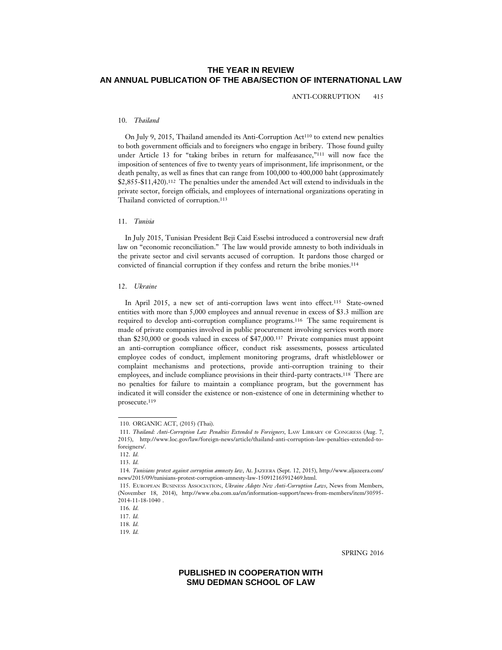ANTI-CORRUPTION 415

### 10. *Thailand*

On July 9, 2015, Thailand amended its Anti-Corruption Act110 to extend new penalties to both government officials and to foreigners who engage in bribery. Those found guilty under Article 13 for "taking bribes in return for malfeasance,"111 will now face the imposition of sentences of five to twenty years of imprisonment, life imprisonment, or the death penalty, as well as fines that can range from 100,000 to 400,000 baht (approximately \$2,855-\$11,420).112 The penalties under the amended Act will extend to individuals in the private sector, foreign officials, and employees of international organizations operating in Thailand convicted of corruption.113

### 11. *Tunisia*

In July 2015, Tunisian President Beji Caid Essebsi introduced a controversial new draft law on "economic reconciliation." The law would provide amnesty to both individuals in the private sector and civil servants accused of corruption. It pardons those charged or convicted of financial corruption if they confess and return the bribe monies.114

### 12. *Ukraine*

In April 2015, a new set of anti-corruption laws went into effect.<sup>115</sup> State-owned entities with more than 5,000 employees and annual revenue in excess of \$3.3 million are required to develop anti-corruption compliance programs.116 The same requirement is made of private companies involved in public procurement involving services worth more than \$230,000 or goods valued in excess of \$47,000.117 Private companies must appoint an anti-corruption compliance officer, conduct risk assessments, possess articulated employee codes of conduct, implement monitoring programs, draft whistleblower or complaint mechanisms and protections, provide anti-corruption training to their employees, and include compliance provisions in their third-party contracts.118 There are no penalties for failure to maintain a compliance program, but the government has indicated it will consider the existence or non-existence of one in determining whether to prosecute.119

SPRING 2016

<sup>110.</sup> ORGANIC ACT, (2015) (Thai).

<sup>111.</sup> *Thailand: Anti-Corruption Law Penalties Extended to Foreigners*, LAW LIBRARY OF CONGRESS (Aug. 7, 2015), http://www.loc.gov/law/foreign-news/article/thailand-anti-corruption-law-penalties-extended-toforeigners/.

<sup>112.</sup> *Id.*

<sup>113.</sup> *Id.*

<sup>114.</sup> *Tunisians protest against corruption amnesty law*, AL JAZEERA (Sept. 12, 2015), http://www.aljazeera.com/ news/2015/09/tunisians-protest-corruption-amnesty-law-150912165912469.html.

<sup>115.</sup> EUROPEAN BUSINESS ASSOCIATION, *Ukraine Adopts New Anti-Corruption Laws*, News from Members, (November 18, 2014), http://www.eba.com.ua/en/information-support/news-from-members/item/30595- 2014-11-18-1040 .

<sup>116.</sup> *Id.*

<sup>117.</sup> *Id.*

<sup>118.</sup> *Id.*

<sup>119.</sup> *Id.*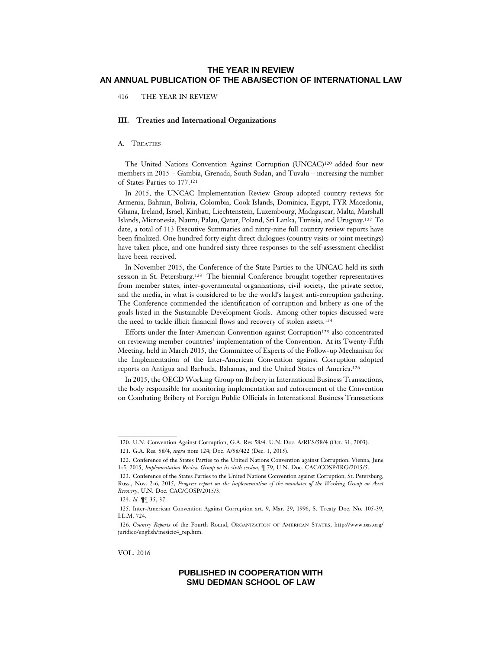416 THE YEAR IN REVIEW

#### **III. Treaties and International Organizations**

### A. TREATIES

The United Nations Convention Against Corruption (UNCAC)120 added four new members in 2015 – Gambia, Grenada, South Sudan, and Tuvalu – increasing the number of States Parties to 177.121

In 2015, the UNCAC Implementation Review Group adopted country reviews for Armenia, Bahrain, Bolivia, Colombia, Cook Islands, Dominica, Egypt, FYR Macedonia, Ghana, Ireland, Israel, Kiribati, Liechtenstein, Luxembourg, Madagascar, Malta, Marshall Islands, Micronesia, Nauru, Palau, Qatar, Poland, Sri Lanka, Tunisia, and Uruguay.122 To date, a total of 113 Executive Summaries and ninty-nine full country review reports have been finalized. One hundred forty eight direct dialogues (country visits or joint meetings) have taken place, and one hundred sixty three responses to the self-assessment checklist have been received.

In November 2015, the Conference of the State Parties to the UNCAC held its sixth session in St. Petersburg.123 The biennial Conference brought together representatives from member states, inter-governmental organizations, civil society, the private sector, and the media, in what is considered to be the world's largest anti-corruption gathering. The Conference commended the identification of corruption and bribery as one of the goals listed in the Sustainable Development Goals. Among other topics discussed were the need to tackle illicit financial flows and recovery of stolen assets.124

Efforts under the Inter-American Convention against Corruption<sup>125</sup> also concentrated on reviewing member countries' implementation of the Convention. At its Twenty-Fifth Meeting, held in March 2015, the Committee of Experts of the Follow-up Mechanism for the Implementation of the Inter-American Convention against Corruption adopted reports on Antigua and Barbuda, Bahamas, and the United States of America.126

In 2015, the OECD Working Group on Bribery in International Business Transactions, the body responsible for monitoring implementation and enforcement of the Convention on Combating Bribery of Foreign Public Officials in International Business Transactions

VOL. 2016

<sup>120.</sup> U.N. Convention Against Corruption, G.A. Res 58/4. U.N. Doc. A/RES/58/4 (Oct. 31, 2003).

<sup>121.</sup> G.A. Res. 58/4, *supra* note 124; Doc. A/58/422 (Dec. 1, 2015).

<sup>122.</sup> Conference of the States Parties to the United Nations Convention against Corruption, Vienna, June 1-5, 2015, *Implementation Review Group on its sixth session*, ¶ 79, U.N. Doc. CAC/COSP/IRG/2015/5.

<sup>123.</sup> Conference of the States Parties to the United Nations Convention against Corruption, St. Petersburg, Russ., Nov. 2-6, 2015, *Progress report on the implementation of the mandates of the Working Group on Asset Recovery*, U.N. Doc. CAC/COSP/2015/3.

<sup>124.</sup> *Id.* ¶¶ 35, 37.

<sup>125.</sup> Inter-American Convention Against Corruption art. 9, Mar. 29, 1996, S. Treaty Doc. No. 105-39, I.L.M. 724.

<sup>126.</sup> *Country Reports* of the Fourth Round, ORGANIZATION OF AMERICAN STATES, http://www.oas.org/ juridico/english/mesicic4\_rep.htm.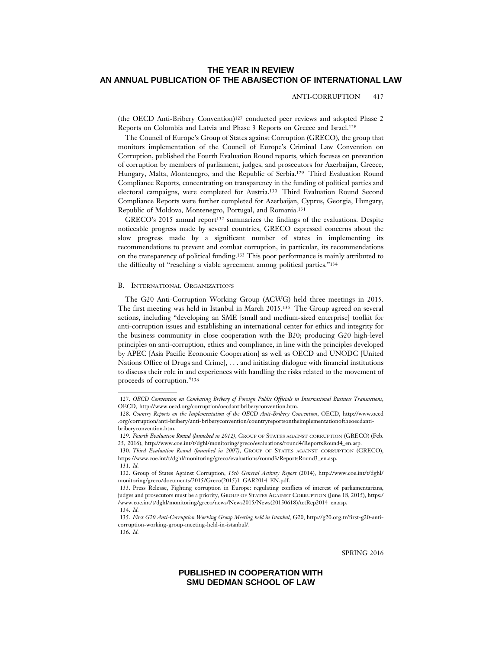#### ANTI-CORRUPTION 417

(the OECD Anti-Bribery Convention)127 conducted peer reviews and adopted Phase 2 Reports on Colombia and Latvia and Phase 3 Reports on Greece and Israel.128

The Council of Europe's Group of States against Corruption (GRECO), the group that monitors implementation of the Council of Europe's Criminal Law Convention on Corruption, published the Fourth Evaluation Round reports, which focuses on prevention of corruption by members of parliament, judges, and prosecutors for Azerbaijan, Greece, Hungary, Malta, Montenegro, and the Republic of Serbia.129 Third Evaluation Round Compliance Reports, concentrating on transparency in the funding of political parties and electoral campaigns, were completed for Austria.130 Third Evaluation Round Second Compliance Reports were further completed for Azerbaijan, Cyprus, Georgia, Hungary, Republic of Moldova, Montenegro, Portugal, and Romania.131

GRECO's 2015 annual report<sup>132</sup> summarizes the findings of the evaluations. Despite noticeable progress made by several countries, GRECO expressed concerns about the slow progress made by a significant number of states in implementing its recommendations to prevent and combat corruption, in particular, its recommendations on the transparency of political funding.133 This poor performance is mainly attributed to the difficulty of "reaching a viable agreement among political parties."134

#### B. INTERNATIONAL ORGANIZATIONS

The G20 Anti-Corruption Working Group (ACWG) held three meetings in 2015. The first meeting was held in Istanbul in March 2015.135 The Group agreed on several actions, including "developing an SME [small and medium-sized enterprise] toolkit for anti-corruption issues and establishing an international center for ethics and integrity for the business community in close cooperation with the B20; producing G20 high-level principles on anti-corruption, ethics and compliance, in line with the principles developed by APEC [Asia Pacific Economic Cooperation] as well as OECD and UNODC [United Nations Office of Drugs and Crime], . . . and initiating dialogue with financial institutions to discuss their role in and experiences with handling the risks related to the movement of proceeds of corruption."136

SPRING 2016

<sup>127.</sup> *OECD Convention on Combating Bribery of Foreign Public Officials in International Business Transactions*, OECD, http://www.oecd.org/corruption/oecdantibriberyconvention.htm.

<sup>128.</sup> *Country Reports on the Implementation of the OECD Anti-Bribery Convention*, OECD, http://www.oecd .org/corruption/anti-bribery/anti-briberyconvention/countryreportsontheimplementationoftheoecdantibriberyconvention.htm.

<sup>129.</sup> *Fourth Evaluation Round (launched in 2012)*, GROUP OF STATES AGAINST CORRUPTION (GRECO) (Feb. 25, 2016), http://www.coe.int/t/dghl/monitoring/greco/evaluations/round4/ReportsRound4\_en.asp.

<sup>130.</sup> *Third Evaluation Round (launched in 2007)*, GROUP OF STATES AGAINST CORRUPTION (GRECO), https://www.coe.int/t/dghl/monitoring/greco/evaluations/round3/ReportsRound3\_en.asp.

<sup>131.</sup> *Id.*

<sup>132.</sup> Group of States Against Corruption, *15th General Activity Report* (2014), http://www.coe.int/t/dghl/ monitoring/greco/documents/2015/Greco(2015)1\_GAR2014\_EN.pdf.

<sup>133.</sup> Press Release, Fighting corruption in Europe: regulating conflicts of interest of parliamentarians, judges and prosecutors must be a priority, GROUP OF STATES AGAINST CORRUPTION (June 18, 2015), https:/ /www.coe.int/t/dghl/monitoring/greco/news/News2015/News(20150618)ActRep2014\_en.asp. 134. *Id.*

<sup>135.</sup> *First G20 Anti-Corruption Working Group Meeting held in Istanbul*, G20, http://g20.org.tr/first-g20-anticorruption-working-group-meeting-held-in-istanbul/. 136. *Id.*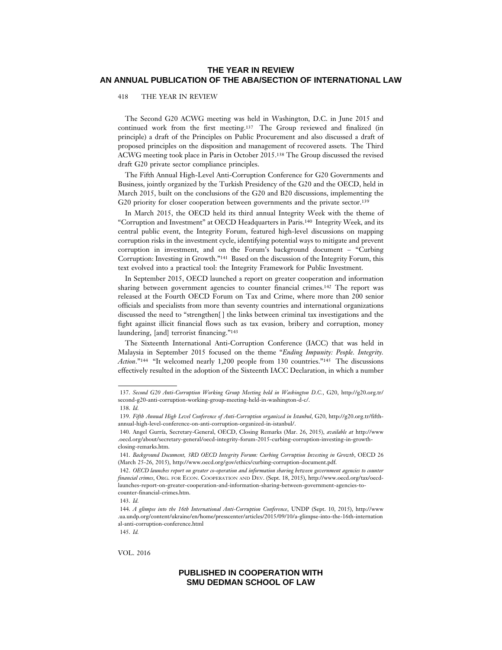#### 418 THE YEAR IN REVIEW

The Second G20 ACWG meeting was held in Washington, D.C. in June 2015 and continued work from the first meeting.137 The Group reviewed and finalized (in principle) a draft of the Principles on Public Procurement and also discussed a draft of proposed principles on the disposition and management of recovered assets. The Third ACWG meeting took place in Paris in October 2015.138 The Group discussed the revised draft G20 private sector compliance principles.

The Fifth Annual High-Level Anti-Corruption Conference for G20 Governments and Business, jointly organized by the Turkish Presidency of the G20 and the OECD, held in March 2015, built on the conclusions of the G20 and B20 discussions, implementing the G20 priority for closer cooperation between governments and the private sector.<sup>139</sup>

In March 2015, the OECD held its third annual Integrity Week with the theme of "Corruption and Investment" at OECD Headquarters in Paris.140 Integrity Week, and its central public event, the Integrity Forum, featured high-level discussions on mapping corruption risks in the investment cycle, identifying potential ways to mitigate and prevent corruption in investment, and on the Forum's background document – "Curbing Corruption: Investing in Growth."141 Based on the discussion of the Integrity Forum, this text evolved into a practical tool: the Integrity Framework for Public Investment.

In September 2015, OECD launched a report on greater cooperation and information sharing between government agencies to counter financial crimes.142 The report was released at the Fourth OECD Forum on Tax and Crime, where more than 200 senior officials and specialists from more than seventy countries and international organizations discussed the need to "strengthen[ ] the links between criminal tax investigations and the fight against illicit financial flows such as tax evasion, bribery and corruption, money laundering, [and] terrorist financing."143

The Sixteenth International Anti-Corruption Conference (IACC) that was held in Malaysia in September 2015 focused on the theme "*Ending Impunity: People. Integrity. Action*."144 "It welcomed nearly 1,200 people from 130 countries."145 The discussions effectively resulted in the adoption of the Sixteenth IACC Declaration, in which a number

VOL. 2016

<sup>137.</sup> *Second G20 Anti-Corruption Working Group Meeting held in Washington D.C.*, G20, http://g20.org.tr/ second-g20-anti-corruption-working-group-meeting-held-in-washington-d-c/.

<sup>138.</sup> *Id.*

<sup>139.</sup> *Fifth Annual High Level Conference of Anti-Corruption organized in Istanbul*, G20, http://g20.org.tr/fifthannual-high-level-conference-on-anti-corruption-organized-in-istanbul/.

<sup>140.</sup> Angel Gurría, Secretary-General, OECD, Closing Remarks (Mar. 26, 2015), *available at http://www* .oecd.org/about/secretary-general/oecd-integrity-forum-2015-curbing-corruption-investing-in-growthclosing-remarks.htm.

<sup>141.</sup> *Background Document, 3RD OECD Integrity Forum: Curbing Corruption Investing in Growth*, OECD 26 (March 25-26, 2015), http://www.oecd.org/gov/ethics/curbing-corruption-document.pdf.

<sup>142.</sup> *OECD launches report on greater co-operation and information sharing between government agencies to counter financial crimes*, ORG. FOR ECON. COOPERATION AND DEV. (Sept. 18, 2015), http://www.oecd.org/tax/oecdlaunches-report-on-greater-cooperation-and-information-sharing-between-government-agencies-tocounter-financial-crimes.htm.

<sup>143.</sup> *Id.*

<sup>144.</sup> *A glimpse into the 16th International Anti-Corruption Conference*, UNDP (Sept. 10, 2015), http://www .ua.undp.org/content/ukraine/en/home/presscenter/articles/2015/09/10/a-glimpse-into-the-16th-internation al-anti-corruption-conference.html

<sup>145.</sup> *Id.*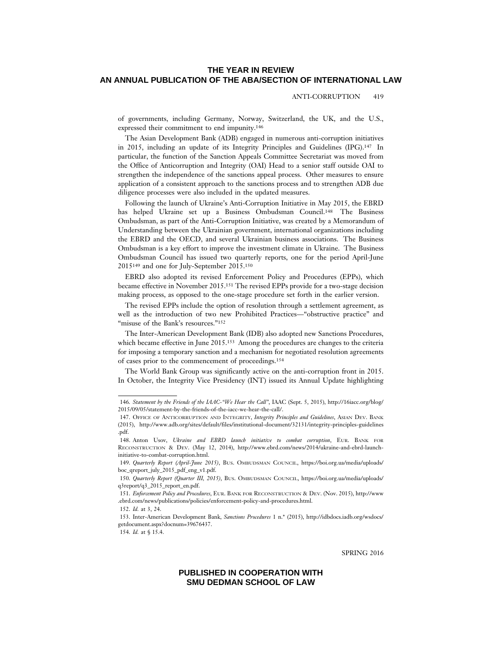ANTI-CORRUPTION 419

of governments, including Germany, Norway, Switzerland, the UK, and the U.S., expressed their commitment to end impunity.146

The Asian Development Bank (ADB) engaged in numerous anti-corruption initiatives in 2015, including an update of its Integrity Principles and Guidelines (IPG).147 In particular, the function of the Sanction Appeals Committee Secretariat was moved from the Office of Anticorruption and Integrity (OAI) Head to a senior staff outside OAI to strengthen the independence of the sanctions appeal process. Other measures to ensure application of a consistent approach to the sanctions process and to strengthen ADB due diligence processes were also included in the updated measures.

Following the launch of Ukraine's Anti-Corruption Initiative in May 2015, the EBRD has helped Ukraine set up a Business Ombudsman Council.148 The Business Ombudsman, as part of the Anti-Corruption Initiative, was created by a Memorandum of Understanding between the Ukrainian government, international organizations including the EBRD and the OECD, and several Ukrainian business associations. The Business Ombudsman is a key effort to improve the investment climate in Ukraine. The Business Ombudsman Council has issued two quarterly reports, one for the period April-June 2015149 and one for July-September 2015.150

EBRD also adopted its revised Enforcement Policy and Procedures (EPPs), which became effective in November 2015.151 The revised EPPs provide for a two-stage decision making process, as opposed to the one-stage procedure set forth in the earlier version.

The revised EPPs include the option of resolution through a settlement agreement, as well as the introduction of two new Prohibited Practices—"obstructive practice" and "misuse of the Bank's resources."<sup>152</sup>

The Inter-American Development Bank (IDB) also adopted new Sanctions Procedures, which became effective in June 2015.<sup>153</sup> Among the procedures are changes to the criteria for imposing a temporary sanction and a mechanism for negotiated resolution agreements of cases prior to the commencement of proceedings.154

The World Bank Group was significantly active on the anti-corruption front in 2015. In October, the Integrity Vice Presidency (INT) issued its Annual Update highlighting

SPRING 2016

<sup>146.</sup> *Statement by the Friends of the IAAC-"We Hear the Call"*, IAAC (Sept. 5, 2015), http://16iacc.org/blog/ 2015/09/05/statement-by-the-friends-of-the-iacc-we-hear-the-call/.

<sup>147.</sup> OFFICE OF ANTICORRUPTION AND INTEGRITY, *Integrity Principles and Guidelines*, ASIAN DEV. BANK (2015), http://www.adb.org/sites/default/files/institutional-document/32131/integrity-principles-guidelines .pdf.

<sup>148.</sup> Anton Usov, *Ukraine and EBRD launch initiative to combat corruption*, EUR. BANK FOR RECONSTRUCTION & DEV. (May 12, 2014), http://www.ebrd.com/news/2014/ukraine-and-ebrd-launchinitiative-to-combat-corruption.html.

<sup>149.</sup> *Quarterly Report (April-June 2015)*, BUS. OMBUDSMAN COUNCIL, https://boi.org.ua/media/uploads/ boc\_qreport\_july\_2015\_pdf\_eng\_v1.pdf.

<sup>150.</sup> *Quarterly Report (Quarter III, 2015)*, BUS. OMBUDSMAN COUNCIL, https://boi.org.ua/media/uploads/ q3report/q3\_2015\_report\_en.pdf.

<sup>151.</sup> *Enforcement Policy and Procedures*, EUR. BANK FOR RECONSTRUCTION & DEV. (Nov. 2015), http://www .ebrd.com/news/publications/policies/enforcement-policy-and-procedures.html.

<sup>152.</sup> *Id.* at 3, 24.

<sup>153.</sup> Inter-American Development Bank, *Sanctions Procedures* 1 n.\* (2015), http://idbdocs.iadb.org/wsdocs/ getdocument.aspx?docnum=39676437.

<sup>154.</sup> *Id.* at § 15.4.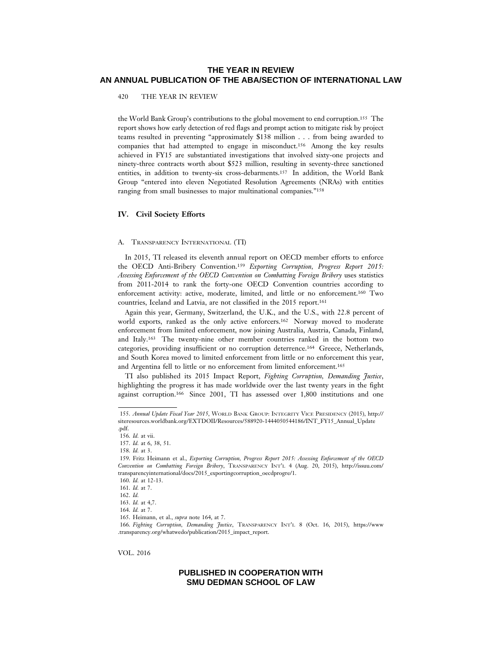420 THE YEAR IN REVIEW

the World Bank Group's contributions to the global movement to end corruption.155 The report shows how early detection of red flags and prompt action to mitigate risk by project teams resulted in preventing "approximately \$138 million . . . from being awarded to companies that had attempted to engage in misconduct.156 Among the key results achieved in FY15 are substantiated investigations that involved sixty-one projects and ninety-three contracts worth about \$523 million, resulting in seventy-three sanctioned entities, in addition to twenty-six cross-debarments.157 In addition, the World Bank Group "entered into eleven Negotiated Resolution Agreements (NRAs) with entities ranging from small businesses to major multinational companies."158

#### **IV. Civil Society Efforts**

### A. TRANSPARENCY INTERNATIONAL (TI)

In 2015, TI released its eleventh annual report on OECD member efforts to enforce the OECD Anti-Bribery Convention.159 *Exporting Corruption, Progress Report 2015: Assessing Enforcement of the OECD Convention on Combatting Foreign Bribery* uses statistics from 2011-2014 to rank the forty-one OECD Convention countries according to enforcement activity: active, moderate, limited, and little or no enforcement.160 Two countries, Iceland and Latvia, are not classified in the 2015 report.161

Again this year, Germany, Switzerland, the U.K., and the U.S., with 22.8 percent of world exports, ranked as the only active enforcers.162 Norway moved to moderate enforcement from limited enforcement, now joining Australia, Austria, Canada, Finland, and Italy.163 The twenty-nine other member countries ranked in the bottom two categories, providing insufficient or no corruption deterrence.164 Greece, Netherlands, and South Korea moved to limited enforcement from little or no enforcement this year, and Argentina fell to little or no enforcement from limited enforcement.165

TI also published its 2015 Impact Report, *Fighting Corruption, Demanding Justice*, highlighting the progress it has made worldwide over the last twenty years in the fight against corruption.166 Since 2001, TI has assessed over 1,800 institutions and one

VOL. 2016

<sup>155.</sup> *Annual Update Fiscal Year 2015*, WORLD BANK GROUP: INTEGRITY VICE PRESIDENCY (2015), http:// siteresources.worldbank.org/EXTDOII/Resources/588920-1444050544186/INT\_FY15\_Annual\_Update .pdf.

<sup>156.</sup> *Id.* at vii.

<sup>157.</sup> *Id.* at 6, 38, 51.

<sup>158.</sup> *Id.* at 3.

<sup>159.</sup> Fritz Heimann et al., *Exporting Corruption, Progress Report 2015: Assessing Enforcement of the OECD Convention on Combatting Foreign Bribery*, TRANSPARENCY INT'L 4 (Aug. 20, 2015), http://issuu.com/ transparencyinternational/docs/2015\_exportingcorruption\_oecdprogre/1.

<sup>160.</sup> *Id.* at 12-13.

<sup>161.</sup> *Id.* at 7.

<sup>162.</sup> *Id.*

<sup>163.</sup> *Id.* at 4,7.

<sup>164.</sup> *Id.* at 7.

<sup>165.</sup> Heimann, et al., *supra* note 164, at 7.

<sup>166.</sup> *Fighting Corruption, Demanding Justice*, TRANSPARENCY INT'L 8 (Oct. 16, 2015), https://www .transparency.org/whatwedo/publication/2015\_impact\_report.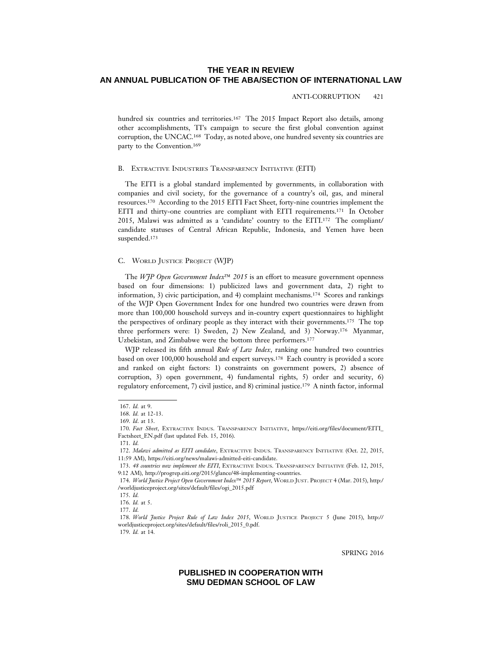#### ANTI-CORRUPTION 421

hundred six countries and territories.<sup>167</sup> The 2015 Impact Report also details, among other accomplishments, TI's campaign to secure the first global convention against corruption, the UNCAC.168 Today, as noted above, one hundred seventy six countries are party to the Convention.169

#### B. EXTRACTIVE INDUSTRIES TRANSPARENCY INITIATIVE (EITI)

The EITI is a global standard implemented by governments, in collaboration with companies and civil society, for the governance of a country's oil, gas, and mineral resources.170 According to the 2015 EITI Fact Sheet, forty-nine countries implement the EITI and thirty-one countries are compliant with EITI requirements.<sup>171</sup> In October 2015, Malawi was admitted as a 'candidate' country to the EITI.172 The compliant/ candidate statuses of Central African Republic, Indonesia, and Yemen have been suspended.173

### C. WORLD JUSTICE PROJECT (WJP)

The *WJP Open Government Index*™ *2015* is an effort to measure government openness based on four dimensions: 1) publicized laws and government data, 2) right to information, 3) civic participation, and 4) complaint mechanisms.174 Scores and rankings of the WJP Open Government Index for one hundred two countries were drawn from more than 100,000 household surveys and in-country expert questionnaires to highlight the perspectives of ordinary people as they interact with their governments.175 The top three performers were: 1) Sweden, 2) New Zealand, and 3) Norway.176 Myanmar, Uzbekistan, and Zimbabwe were the bottom three performers.177

WJP released its fifth annual *Rule of Law Index*, ranking one hundred two countries based on over 100,000 household and expert surveys.178 Each country is provided a score and ranked on eight factors: 1) constraints on government powers, 2) absence of corruption, 3) open government, 4) fundamental rights, 5) order and security, 6) regulatory enforcement, 7) civil justice, and 8) criminal justice.179 A ninth factor, informal

SPRING 2016

<sup>167.</sup> *Id.* at 9.

<sup>168.</sup> *Id.* at 12-13.

<sup>169.</sup> *Id*. at 13.

<sup>170.</sup> *Fact Sheet*, EXTRACTIVE INDUS. TRANSPARENCY INITIATIVE, https://eiti.org/files/document/EITI\_ Factsheet\_EN.pdf (last updated Feb. 15, 2016).

<sup>171.</sup> *Id.*

<sup>172.</sup> *Malawi admitted as EITI candidate*, EXTRACTIVE INDUS. TRANSPARENCY INITIATIVE (Oct. 22, 2015, 11:59 AM), https://eiti.org/news/malawi-admitted-eiti-candidate.

<sup>173.</sup> *48 countries now implement the EITI*, EXTRACTIVE INDUS. TRANSPARENCY INITIATIVE (Feb. 12, 2015, 9:12 AM), http://progrep.eiti.org/2015/glance/48-implementing-countries.

<sup>174.</sup> *World Justice Project Open Government Index*™ *2015 Report*, WORLD JUST. PROJECT 4 (Mar. 2015), http:/ /worldjusticeproject.org/sites/default/files/ogi\_2015.pdf

<sup>175.</sup> *Id.*

<sup>176.</sup> *Id.* at 5.

<sup>177.</sup> *Id.*

<sup>178.</sup> *World Justice Project Rule of Law Index 2015*, WORLD JUSTICE PROJECT 5 (June 2015), http:// worldjusticeproject.org/sites/default/files/roli\_2015\_0.pdf.

<sup>179.</sup> *Id.* at 14.